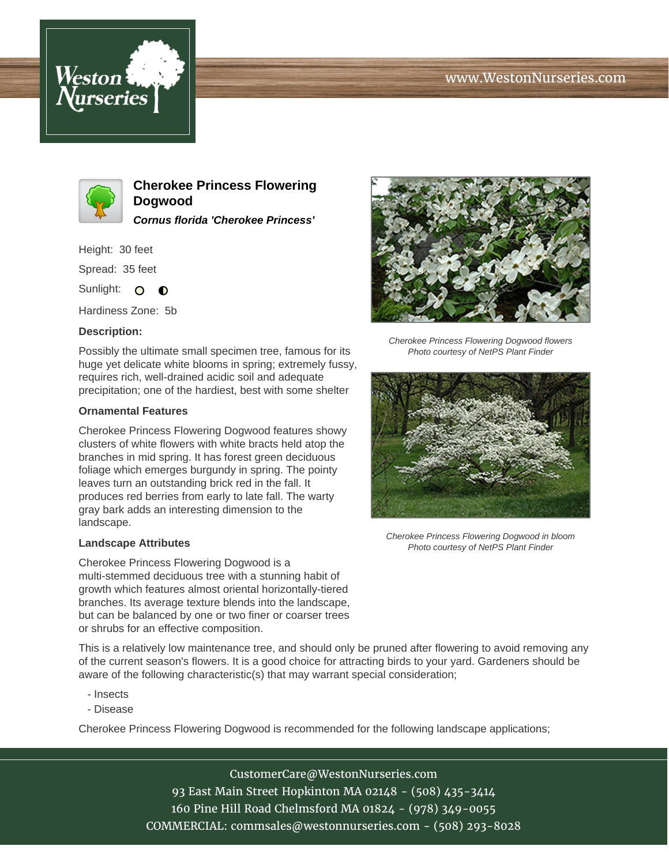## www.WestonNurseries.com





**Cherokee Princess Flowering Dogwood Cornus florida 'Cherokee Princess'**

Height: 30 feet

Spread: 35 feet

Sunlight: O  $\bullet$ 

Hardiness Zone: 5b

### **Description:**

Possibly the ultimate small specimen tree, famous for its huge yet delicate white blooms in spring; extremely fussy, requires rich, well-drained acidic soil and adequate precipitation; one of the hardiest, best with some shelter

### **Ornamental Features**

Cherokee Princess Flowering Dogwood features showy clusters of white flowers with white bracts held atop the branches in mid spring. It has forest green deciduous foliage which emerges burgundy in spring. The pointy leaves turn an outstanding brick red in the fall. It produces red berries from early to late fall. The warty gray bark adds an interesting dimension to the landscape.

### **Landscape Attributes**

Cherokee Princess Flowering Dogwood is a multi-stemmed deciduous tree with a stunning habit of growth which features almost oriental horizontally-tiered branches. Its average texture blends into the landscape, but can be balanced by one or two finer or coarser trees or shrubs for an effective composition.



Cherokee Princess Flowering Dogwood flowers Photo courtesy of NetPS Plant Finder



Cherokee Princess Flowering Dogwood in bloom Photo courtesy of NetPS Plant Finder

This is a relatively low maintenance tree, and should only be pruned after flowering to avoid removing any of the current season's flowers. It is a good choice for attracting birds to your yard. Gardeners should be aware of the following characteristic(s) that may warrant special consideration;

- Insects
- Disease

Cherokee Princess Flowering Dogwood is recommended for the following landscape applications;

CustomerCare@WestonNurseries.com 93 East Main Street Hopkinton MA 02148 - (508) 435-3414 160 Pine Hill Road Chelmsford MA 01824 - (978) 349-0055 COMMERCIAL: commsales@westonnurseries.com - (508) 293-8028